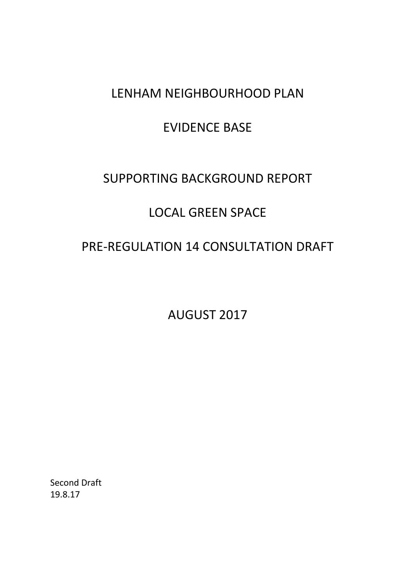LENHAM NEIGHBOURHOOD PLAN

### EVIDENCE BASE

## SUPPORTING BACKGROUND REPORT

# LOCAL GREEN SPACE

# PRE-REGULATION 14 CONSULTATION DRAFT

AUGUST 2017

Second Draft 19.8.17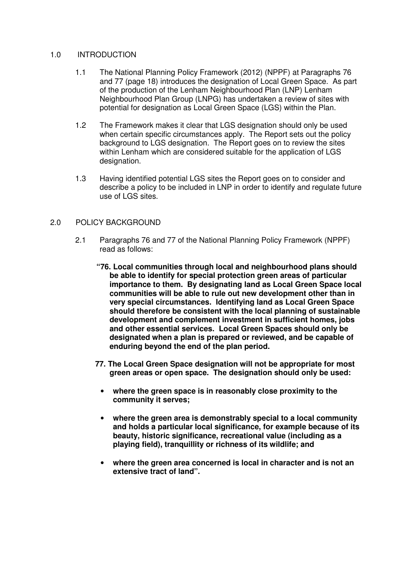#### 1.0 INTRODUCTION

- 1.1 The National Planning Policy Framework (2012) (NPPF) at Paragraphs 76 and 77 (page 18) introduces the designation of Local Green Space. As part of the production of the Lenham Neighbourhood Plan (LNP) Lenham Neighbourhood Plan Group (LNPG) has undertaken a review of sites with potential for designation as Local Green Space (LGS) within the Plan.
- 1.2 The Framework makes it clear that LGS designation should only be used when certain specific circumstances apply. The Report sets out the policy background to LGS designation. The Report goes on to review the sites within Lenham which are considered suitable for the application of LGS designation.
- 1.3 Having identified potential LGS sites the Report goes on to consider and describe a policy to be included in LNP in order to identify and regulate future use of LGS sites.

#### 2.0 POLICY BACKGROUND

- 2.1 Paragraphs 76 and 77 of the National Planning Policy Framework (NPPF) read as follows:
	- **"76. Local communities through local and neighbourhood plans should be able to identify for special protection green areas of particular importance to them. By designating land as Local Green Space local communities will be able to rule out new development other than in very special circumstances. Identifying land as Local Green Space should therefore be consistent with the local planning of sustainable development and complement investment in sufficient homes, jobs and other essential services. Local Green Spaces should only be designated when a plan is prepared or reviewed, and be capable of enduring beyond the end of the plan period.**
	- **77. The Local Green Space designation will not be appropriate for most green areas or open space. The designation should only be used:** 
		- **where the green space is in reasonably close proximity to the community it serves;**
		- **where the green area is demonstrably special to a local community and holds a particular local significance, for example because of its beauty, historic significance, recreational value (including as a playing field), tranquillity or richness of its wildlife; and**
		- **where the green area concerned is local in character and is not an extensive tract of land".**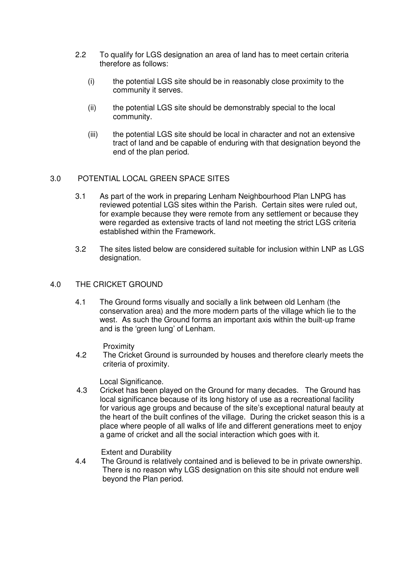- 2.2 To qualify for LGS designation an area of land has to meet certain criteria therefore as follows:
	- (i) the potential LGS site should be in reasonably close proximity to the community it serves.
	- (ii) the potential LGS site should be demonstrably special to the local community.
	- (iii) the potential LGS site should be local in character and not an extensive tract of land and be capable of enduring with that designation beyond the end of the plan period.

#### 3.0 POTENTIAL LOCAL GREEN SPACE SITES

- 3.1 As part of the work in preparing Lenham Neighbourhood Plan LNPG has reviewed potential LGS sites within the Parish. Certain sites were ruled out, for example because they were remote from any settlement or because they were regarded as extensive tracts of land not meeting the strict LGS criteria established within the Framework.
- 3.2 The sites listed below are considered suitable for inclusion within LNP as LGS designation.

#### 4.0 THE CRICKET GROUND

4.1 The Ground forms visually and socially a link between old Lenham (the conservation area) and the more modern parts of the village which lie to the west. As such the Ground forms an important axis within the built-up frame and is the 'green lung' of Lenham.

Proximity<br>4.2 The Crick The Cricket Ground is surrounded by houses and therefore clearly meets the criteria of proximity.

#### Local Significance.

 4.3 Cricket has been played on the Ground for many decades. The Ground has local significance because of its long history of use as a recreational facility for various age groups and because of the site's exceptional natural beauty at the heart of the built confines of the village. During the cricket season this is a place where people of all walks of life and different generations meet to enjoy a game of cricket and all the social interaction which goes with it.

#### Extent and Durability

4.4 The Ground is relatively contained and is believed to be in private ownership. There is no reason why LGS designation on this site should not endure well beyond the Plan period.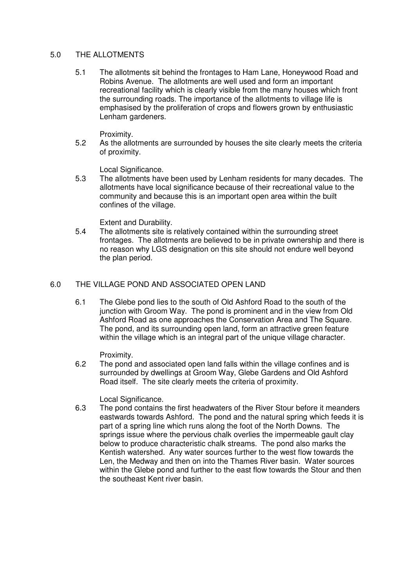#### 5.0 THE ALLOTMENTS

5.1 The allotments sit behind the frontages to Ham Lane, Honeywood Road and Robins Avenue. The allotments are well used and form an important recreational facility which is clearly visible from the many houses which front the surrounding roads. The importance of the allotments to village life is emphasised by the proliferation of crops and flowers grown by enthusiastic Lenham gardeners.

Proximity.

5.2 As the allotments are surrounded by houses the site clearly meets the criteria of proximity.

Local Significance.

5.3 The allotments have been used by Lenham residents for many decades. The allotments have local significance because of their recreational value to the community and because this is an important open area within the built confines of the village.

Extent and Durability.

5.4 The allotments site is relatively contained within the surrounding street frontages. The allotments are believed to be in private ownership and there is no reason why LGS designation on this site should not endure well beyond the plan period.

#### 6.0 THE VILLAGE POND AND ASSOCIATED OPEN LAND

6.1 The Glebe pond lies to the south of Old Ashford Road to the south of the junction with Groom Way. The pond is prominent and in the view from Old Ashford Road as one approaches the Conservation Area and The Square. The pond, and its surrounding open land, form an attractive green feature within the village which is an integral part of the unique village character.

Proximity.

6.2 The pond and associated open land falls within the village confines and is surrounded by dwellings at Groom Way, Glebe Gardens and Old Ashford Road itself. The site clearly meets the criteria of proximity.

Local Significance.

6.3 The pond contains the first headwaters of the River Stour before it meanders eastwards towards Ashford. The pond and the natural spring which feeds it is part of a spring line which runs along the foot of the North Downs. The springs issue where the pervious chalk overlies the impermeable gault clay below to produce characteristic chalk streams. The pond also marks the Kentish watershed. Any water sources further to the west flow towards the Len, the Medway and then on into the Thames River basin. Water sources within the Glebe pond and further to the east flow towards the Stour and then the southeast Kent river basin.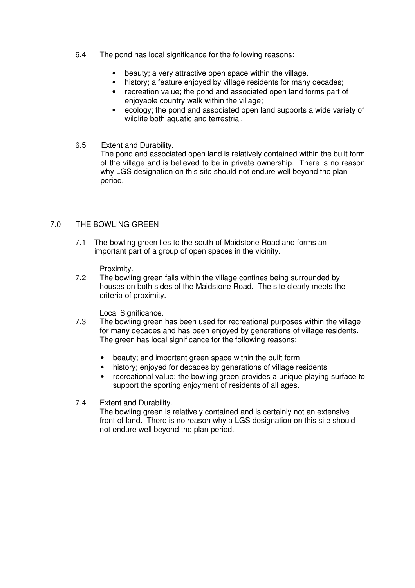- 6.4 The pond has local significance for the following reasons:
	- beauty; a very attractive open space within the village.
	- history; a feature enjoyed by village residents for many decades;
	- recreation value; the pond and associated open land forms part of enjoyable country walk within the village;
	- ecology; the pond and associated open land supports a wide variety of wildlife both aquatic and terrestrial.
- 6.5 Extent and Durability.

 The pond and associated open land is relatively contained within the built form of the village and is believed to be in private ownership. There is no reason why LGS designation on this site should not endure well beyond the plan period.

#### 7.0 THE BOWLING GREEN

7.1 The bowling green lies to the south of Maidstone Road and forms an important part of a group of open spaces in the vicinity.

Proximity.

7.2 The bowling green falls within the village confines being surrounded by houses on both sides of the Maidstone Road. The site clearly meets the criteria of proximity.

Local Significance.

- 7.3 The bowling green has been used for recreational purposes within the village for many decades and has been enjoyed by generations of village residents. The green has local significance for the following reasons:
	- beauty; and important green space within the built form
	- history; enjoyed for decades by generations of village residents
	- recreational value; the bowling green provides a unique playing surface to support the sporting enjoyment of residents of all ages.
- 7.4 Extent and Durability.

 The bowling green is relatively contained and is certainly not an extensive front of land. There is no reason why a LGS designation on this site should not endure well beyond the plan period.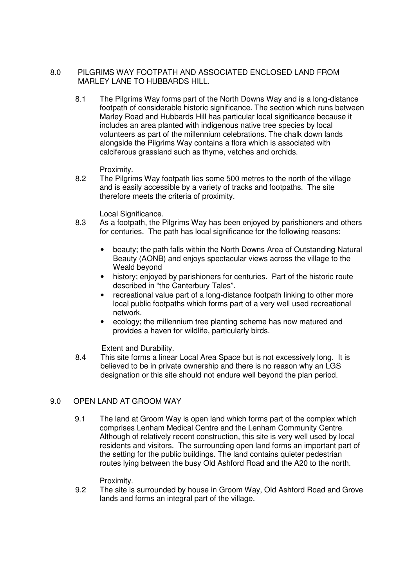#### 8.0 PILGRIMS WAY FOOTPATH AND ASSOCIATED ENCLOSED LAND FROM MARLEY LANE TO HUBBARDS HILL.

8.1 The Pilgrims Way forms part of the North Downs Way and is a long-distance footpath of considerable historic significance. The section which runs between Marley Road and Hubbards Hill has particular local significance because it includes an area planted with indigenous native tree species by local volunteers as part of the millennium celebrations. The chalk down lands alongside the Pilgrims Way contains a flora which is associated with calciferous grassland such as thyme, vetches and orchids.

#### Proximity.

8.2 The Pilgrims Way footpath lies some 500 metres to the north of the village and is easily accessible by a variety of tracks and footpaths. The site therefore meets the criteria of proximity.

Local Significance.

- 8.3 As a footpath, the Pilgrims Way has been enjoyed by parishioners and others for centuries. The path has local significance for the following reasons:
	- beauty; the path falls within the North Downs Area of Outstanding Natural Beauty (AONB) and enjoys spectacular views across the village to the Weald beyond
	- history; enjoyed by parishioners for centuries. Part of the historic route described in "the Canterbury Tales".
	- recreational value part of a long-distance footpath linking to other more local public footpaths which forms part of a very well used recreational network.
	- ecology; the millennium tree planting scheme has now matured and provides a haven for wildlife, particularly birds.

Extent and Durability.

8.4 This site forms a linear Local Area Space but is not excessively long. It is believed to be in private ownership and there is no reason why an LGS designation or this site should not endure well beyond the plan period.

### 9.0 OPEN LAND AT GROOM WAY

9.1 The land at Groom Way is open land which forms part of the complex which comprises Lenham Medical Centre and the Lenham Community Centre. Although of relatively recent construction, this site is very well used by local residents and visitors. The surrounding open land forms an important part of the setting for the public buildings. The land contains quieter pedestrian routes lying between the busy Old Ashford Road and the A20 to the north.

### Proximity.

9.2 The site is surrounded by house in Groom Way, Old Ashford Road and Grove lands and forms an integral part of the village.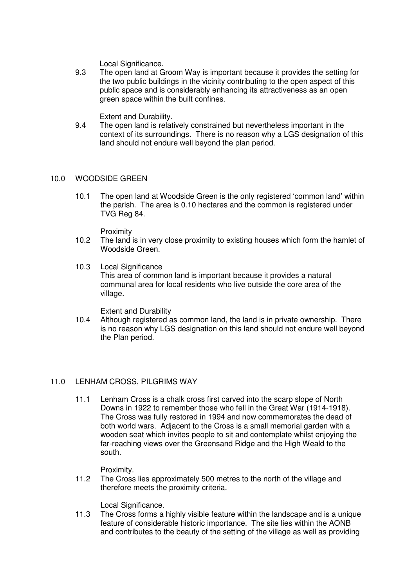Local Significance.

9.3 The open land at Groom Way is important because it provides the setting for the two public buildings in the vicinity contributing to the open aspect of this public space and is considerably enhancing its attractiveness as an open green space within the built confines.

Extent and Durability.

9.4 The open land is relatively constrained but nevertheless important in the context of its surroundings. There is no reason why a LGS designation of this land should not endure well beyond the plan period.

#### 10.0 WOODSIDE GREEN

 10.1 The open land at Woodside Green is the only registered 'common land' within the parish. The area is 0.10 hectares and the common is registered under TVG Reg 84.

Proximity

- 10.2 The land is in very close proximity to existing houses which form the hamlet of Woodside Green.
- 10.3 Local Significance This area of common land is important because it provides a natural communal area for local residents who live outside the core area of the village.

Extent and Durability

 10.4 Although registered as common land, the land is in private ownership. There is no reason why LGS designation on this land should not endure well beyond the Plan period.

#### 11.0 LENHAM CROSS, PILGRIMS WAY

11.1 Lenham Cross is a chalk cross first carved into the scarp slope of North Downs in 1922 to remember those who fell in the Great War (1914-1918). The Cross was fully restored in 1994 and now commemorates the dead of both world wars. Adjacent to the Cross is a small memorial garden with a wooden seat which invites people to sit and contemplate whilst enjoying the far-reaching views over the Greensand Ridge and the High Weald to the south.

Proximity.

11.2 The Cross lies approximately 500 metres to the north of the village and therefore meets the proximity criteria.

Local Significance.

11.3 The Cross forms a highly visible feature within the landscape and is a unique feature of considerable historic importance. The site lies within the AONB and contributes to the beauty of the setting of the village as well as providing